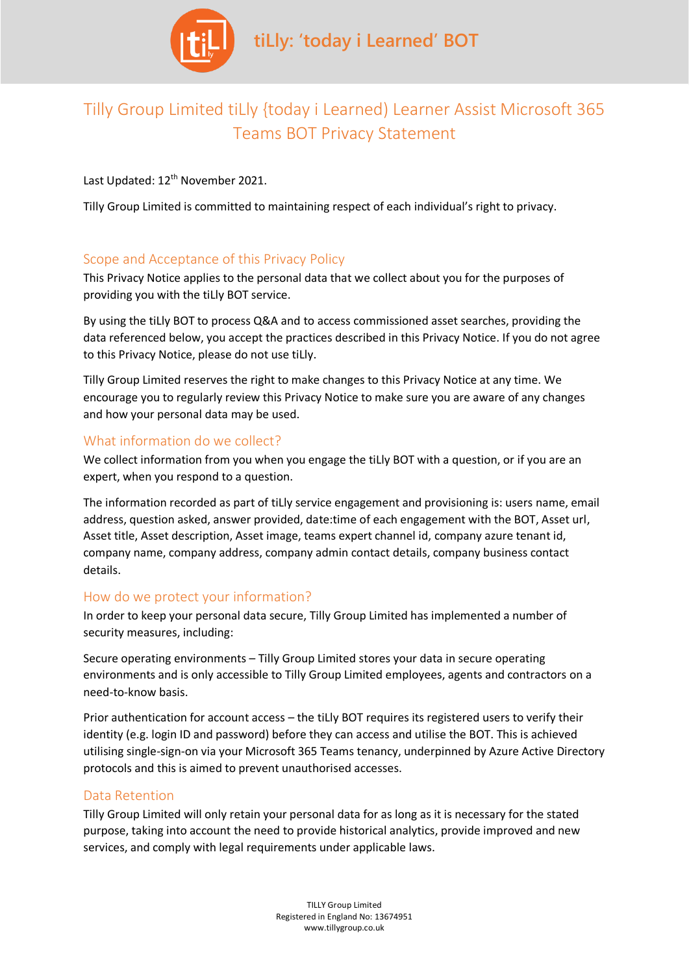

# Tilly Group Limited tiLly {today i Learned) Learner Assist Microsoft 365 Teams BOT Privacy Statement

Last Updated: 12<sup>th</sup> November 2021.

Tilly Group Limited is committed to maintaining respect of each individual's right to privacy.

# Scope and Acceptance of this Privacy Policy

This Privacy Notice applies to the personal data that we collect about you for the purposes of providing you with the tiLly BOT service.

By using the tiLly BOT to process Q&A and to access commissioned asset searches, providing the data referenced below, you accept the practices described in this Privacy Notice. If you do not agree to this Privacy Notice, please do not use tiLly.

Tilly Group Limited reserves the right to make changes to this Privacy Notice at any time. We encourage you to regularly review this Privacy Notice to make sure you are aware of any changes and how your personal data may be used.

### What information do we collect?

We collect information from you when you engage the tiLly BOT with a question, or if you are an expert, when you respond to a question.

The information recorded as part of tiLly service engagement and provisioning is: users name, email address, question asked, answer provided, date:time of each engagement with the BOT, Asset url, Asset title, Asset description, Asset image, teams expert channel id, company azure tenant id, company name, company address, company admin contact details, company business contact details.

### How do we protect your information?

In order to keep your personal data secure, Tilly Group Limited has implemented a number of security measures, including:

Secure operating environments – Tilly Group Limited stores your data in secure operating environments and is only accessible to Tilly Group Limited employees, agents and contractors on a need-to-know basis.

Prior authentication for account access – the tiLly BOT requires its registered users to verify their identity (e.g. login ID and password) before they can access and utilise the BOT. This is achieved utilising single-sign-on via your Microsoft 365 Teams tenancy, underpinned by Azure Active Directory protocols and this is aimed to prevent unauthorised accesses.

### Data Retention

Tilly Group Limited will only retain your personal data for as long as it is necessary for the stated purpose, taking into account the need to provide historical analytics, provide improved and new services, and comply with legal requirements under applicable laws.

> TILLY Group Limited Registered in England No: 13674951 www.tillygroup.co.uk